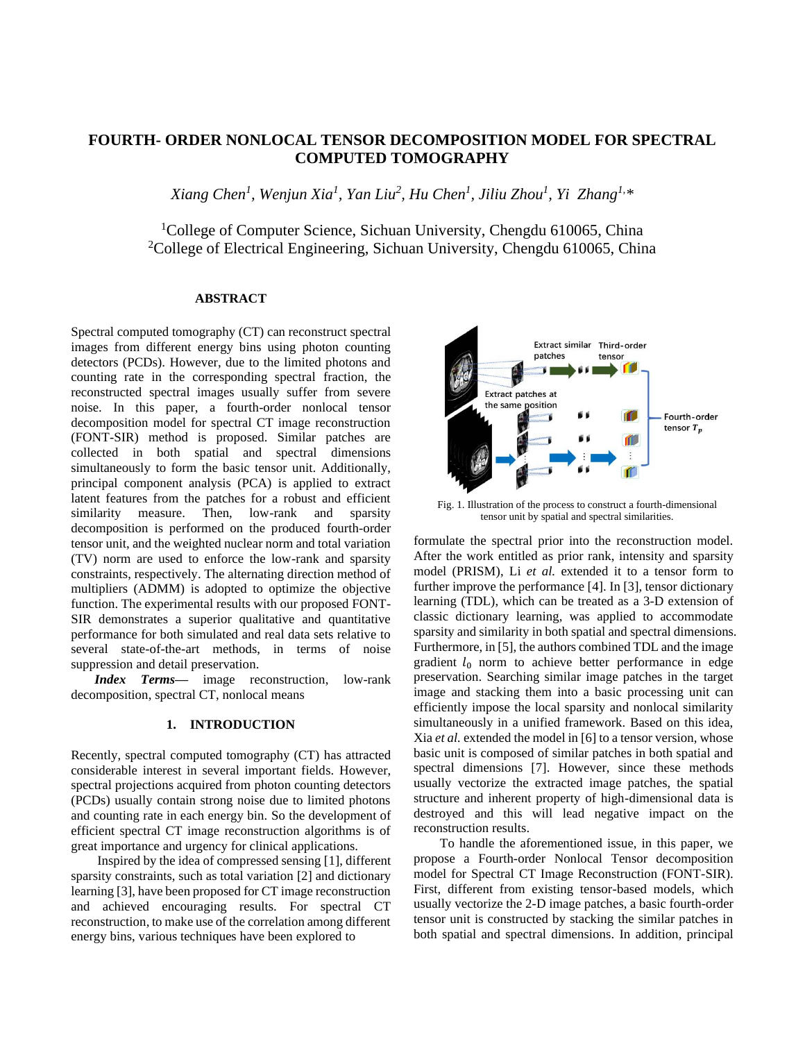# **FOURTH- ORDER NONLOCAL TENSOR DECOMPOSITION MODEL FOR SPECTRAL COMPUTED TOMOGRAPHY**

*Xiang Chen<sup>1</sup> , Wenjun Xia<sup>1</sup> , Yan Liu<sup>2</sup> , Hu Chen<sup>1</sup> , Jiliu Zhou<sup>1</sup> , Yi Zhang1, \**

<sup>1</sup>College of Computer Science, Sichuan University, Chengdu 610065, China <sup>2</sup>College of Electrical Engineering, Sichuan University, Chengdu 610065, China

## **ABSTRACT**

Spectral computed tomography (CT) can reconstruct spectral images from different energy bins using photon counting detectors (PCDs). However, due to the limited photons and counting rate in the corresponding spectral fraction, the reconstructed spectral images usually suffer from severe noise. In this paper, a fourth-order nonlocal tensor decomposition model for spectral CT image reconstruction (FONT-SIR) method is proposed. Similar patches are collected in both spatial and spectral dimensions simultaneously to form the basic tensor unit. Additionally, principal component analysis (PCA) is applied to extract latent features from the patches for a robust and efficient similarity measure. Then, low-rank and sparsity decomposition is performed on the produced fourth-order tensor unit, and the weighted nuclear norm and total variation (TV) norm are used to enforce the low-rank and sparsity constraints, respectively. The alternating direction method of multipliers (ADMM) is adopted to optimize the objective function. The experimental results with our proposed FONT-SIR demonstrates a superior qualitative and quantitative performance for both simulated and real data sets relative to several state-of-the-art methods, in terms of noise suppression and detail preservation.

*Index Terms—* image reconstruction, low-rank decomposition, spectral CT, nonlocal means

#### **1. INTRODUCTION**

Recently, spectral computed tomography (CT) has attracted considerable interest in several important fields. However, spectral projections acquired from photon counting detectors (PCDs) usually contain strong noise due to limited photons and counting rate in each energy bin. So the development of efficient spectral CT image reconstruction algorithms is of great importance and urgency for clinical applications.

Inspired by the idea of compressed sensing [1], different sparsity constraints, such as total variation [2] and dictionary learning [3], have been proposed for CT image reconstruction and achieved encouraging results. For spectral CT reconstruction, to make use of the correlation among different energy bins, various techniques have been explored to



Fig. 1. Illustration of the process to construct a fourth-dimensional tensor unit by spatial and spectral similarities.

formulate the spectral prior into the reconstruction model. After the work entitled as prior rank, intensity and sparsity model (PRISM), Li *et al.* extended it to a tensor form to further improve the performance [4]. In [3], tensor dictionary learning (TDL), which can be treated as a 3-D extension of classic dictionary learning, was applied to accommodate sparsity and similarity in both spatial and spectral dimensions. Furthermore, in [5], the authors combined TDL and the image gradient  $l_0$  norm to achieve better performance in edge preservation. Searching similar image patches in the target image and stacking them into a basic processing unit can efficiently impose the local sparsity and nonlocal similarity simultaneously in a unified framework. Based on this idea, Xia *et al.* extended the model in [6] to a tensor version, whose basic unit is composed of similar patches in both spatial and spectral dimensions [7]. However, since these methods usually vectorize the extracted image patches, the spatial structure and inherent property of high-dimensional data is destroyed and this will lead negative impact on the reconstruction results.

To handle the aforementioned issue, in this paper, we propose a Fourth-order Nonlocal Tensor decomposition model for Spectral CT Image Reconstruction (FONT-SIR). First, different from existing tensor-based models, which usually vectorize the 2-D image patches, a basic fourth-order tensor unit is constructed by stacking the similar patches in both spatial and spectral dimensions. In addition, principal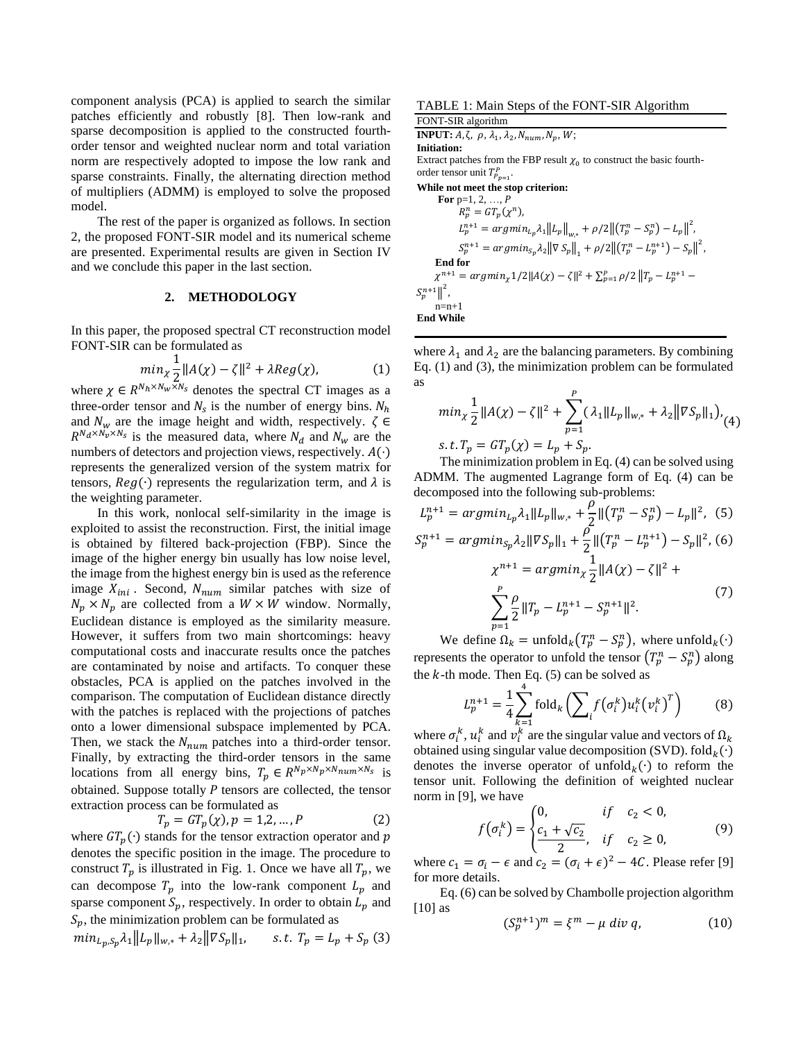component analysis (PCA) is applied to search the similar patches efficiently and robustly [8]. Then low-rank and sparse decomposition is applied to the constructed fourthorder tensor and weighted nuclear norm and total variation norm are respectively adopted to impose the low rank and sparse constraints. Finally, the alternating direction method of multipliers (ADMM) is employed to solve the proposed model.

The rest of the paper is organized as follows. In section 2, the proposed FONT-SIR model and its numerical scheme are presented. Experimental results are given in Section IV and we conclude this paper in the last section.

#### **2. METHODOLOGY**

In this paper, the proposed spectral CT reconstruction model FONT-SIR can be formulated as

$$
\min_{\chi} \frac{1}{2} \|A(\chi) - \zeta\|^2 + \lambda Reg(\chi),\tag{1}
$$

where  $\chi \in R^{N_h \times N_w \times N_s}$  denotes the spectral CT images as a three-order tensor and  $N_s$  is the number of energy bins.  $N_h$ and  $N_w$  are the image height and width, respectively.  $\zeta \in$  $R^{N_d \times N_v \times N_s}$  is the measured data, where  $N_d$  and  $N_w$  are the numbers of detectors and projection views, respectively.  $A(\cdot)$ represents the generalized version of the system matrix for tensors,  $Reg(\cdot)$  represents the regularization term, and  $\lambda$  is the weighting parameter.

In this work, nonlocal self-similarity in the image is exploited to assist the reconstruction. First, the initial image is obtained by filtered back-projection (FBP). Since the image of the higher energy bin usually has low noise level, the image from the highest energy bin is used as the reference image  $X_{ini}$ . Second,  $N_{num}$  similar patches with size of  $N_p \times N_p$  are collected from a  $W \times W$  window. Normally, Euclidean distance is employed as the similarity measure. However, it suffers from two main shortcomings: heavy computational costs and inaccurate results once the patches are contaminated by noise and artifacts. To conquer these obstacles, PCA is applied on the patches involved in the comparison. The computation of Euclidean distance directly with the patches is replaced with the projections of patches onto a lower dimensional subspace implemented by PCA. Then, we stack the  $N_{num}$  patches into a third-order tensor. Finally, by extracting the third-order tensors in the same locations from all energy bins,  $T_p \in R^{N_p \times N_p \times N_{num} \times N_s}$  is obtained. Suppose totally  $P$  tensors are collected, the tensor extraction process can be formulated as

$$
T_p = GT_p(\chi), p = 1, 2, ..., P
$$
 (2)

where  $GT_p(\cdot)$  stands for the tensor extraction operator and p denotes the specific position in the image. The procedure to construct  $T_n$  is illustrated in Fig. 1. Once we have all  $T_n$ , we can decompose  $T_p$  into the low-rank component  $L_p$  and sparse component  $S_p$ , respectively. In order to obtain  $L_p$  and  $S_p$ , the minimization problem can be formulated as

$$
min_{L_p, S_p} \lambda_1 ||L_p||_{w,*} + \lambda_2 ||\nabla S_p||_1, \qquad s.t. \ T_p = L_p + S_p \tag{3}
$$

TABLE 1: Main Steps of the FONT-SIR Algorithm

FONT-SIR algorithm **INPUT:**  $A, \zeta, \rho, \lambda_1, \lambda_2, N_{num}, N_p, W;$ **Initiation:**

Extract patches from the FBP result  $\chi_0$  to construct the basic fourthorder tensor unit  $T_{P_{p=1}}^P$ .

**While not meet the stop criterion:**

**For** p=1, 2, ..., *P*  $R_p^n = GT_p(\chi^n),$  $L_p^{n+1} = argmin_{L_p} \lambda_1 ||L_p||_{w,*} + \rho/2 ||(T_p^n - S_p^n) - L_p||^2$  $S_p^{n+1} = argmin_{S_p} \lambda_2 ||\nabla S_p||_1 + \rho/2 ||(T_p^n - L_p^{n+1}) - S_p||^2,$  **End for**  $\chi^{n+1} = argmin_{\chi} 1/2||A(\chi) - \zeta||^2 + \sum_{p=1}^p \rho/2||T_p - L_p^{n+1} \left\| S_p^{n+1} \right\|^2$ ,  $n=n+1$ **End While**

where  $\lambda_1$  and  $\lambda_2$  are the balancing parameters. By combining Eq. (1) and (3), the minimization problem can be formulated as

$$
min_{\chi} \frac{1}{2} ||A(\chi) - \zeta||^2 + \sum_{p=1}^P (\lambda_1 ||L_p||_{w,*} + \lambda_2 ||\nabla S_p||_1)_{(4)}
$$
  
s.  $t. T_p = GT_p(\chi) = L_p + S_p$ .

The minimization problem in Eq. (4) can be solved using ADMM. The augmented Lagrange form of Eq. (4) can be decomposed into the following sub-problems:

$$
L_p^{n+1} = argmin_{L_p} \lambda_1 ||L_p||_{w,*} + \frac{\rho}{2} ||(T_p^n - S_p^n) - L_p||^2, (5)
$$
  
\n
$$
S_p^{n+1} = argmin_{S_p} \lambda_2 ||\nabla S_p||_1 + \frac{\rho}{2} ||(T_p^n - L_p^{n+1}) - S_p||^2, (6)
$$
  
\n
$$
\chi^{n+1} = argmin_{\chi} \frac{1}{2} ||A(\chi) - \zeta||^2 +
$$

$$
\sum_{p=1}^{1} \frac{\rho}{2} ||T_p - L_p^{n+1} - S_p^{n+1}||^2.
$$

We define  $\Omega_k = \text{unfold}_k(T_p^n - S_p^n)$ , where  $\text{unfold}_k(\cdot)$ represents the operator to unfold the tensor  $(T_p^n - S_p^n)$  along the  $k$ -th mode. Then Eq. (5) can be solved as

$$
L_p^{n+1} = \frac{1}{4} \sum_{k=1}^{4} \text{fold}_k \left( \sum_i f(\sigma_i^k) u_i^k (v_i^k)^T \right)
$$
(8)

where  $\sigma_i^k$ ,  $u_i^k$  and  $v_i^k$  are the singular value and vectors of  $\Omega_k$ obtained using singular value decomposition (SVD).  $\text{fold}_k(\cdot)$ denotes the inverse operator of unfold $_k(\cdot)$  to reform the tensor unit. Following the definition of weighted nuclear norm in [9], we have

$$
f(\sigma_i^k) = \begin{cases} 0, & if & c_2 < 0, \\ \frac{c_1 + \sqrt{c_2}}{2}, & if & c_2 \ge 0, \end{cases}
$$
(9)

where  $c_1 = \sigma_i - \epsilon$  and  $c_2 = (\sigma_i + \epsilon)^2 - 4C$ . Please refer [9] for more details.

Eq. (6) can be solved by Chambolle projection algorithm [10] as

$$
(S_p^{n+1})^m = \xi^m - \mu \operatorname{div} q,\tag{10}
$$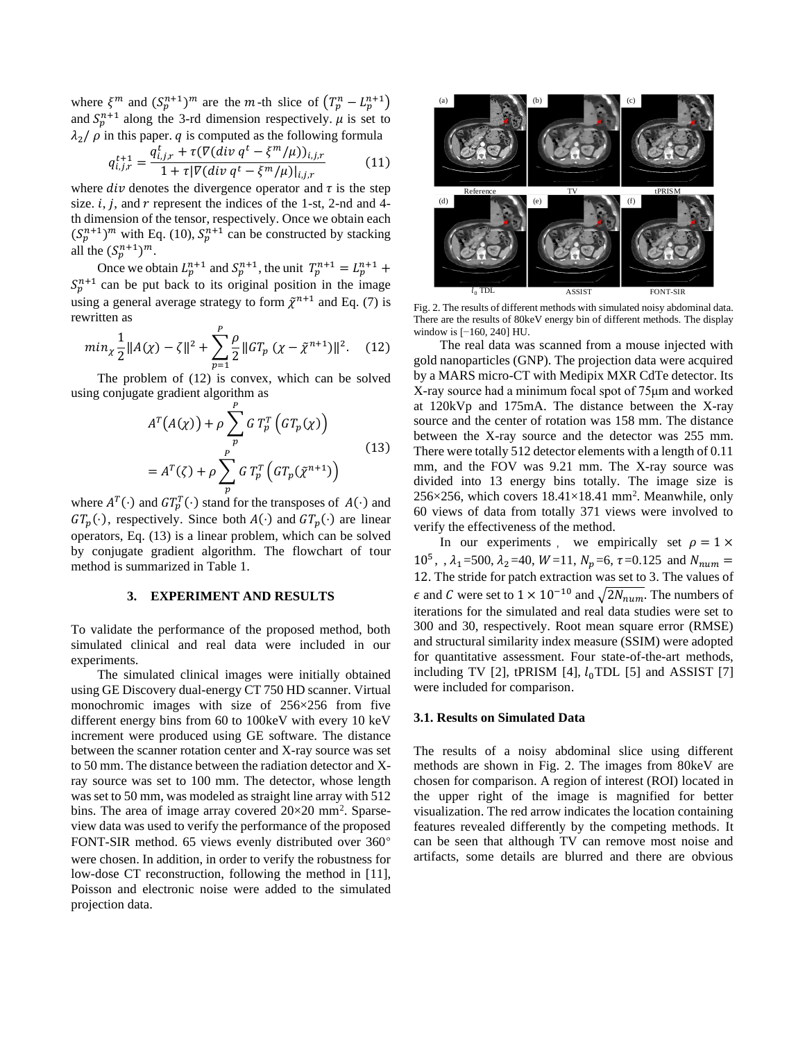where  $\xi^m$  and  $(S_p^{n+1})^m$  are the m-th slice of  $(T_p^n - L_p^{n+1})$ and  $S_p^{n+1}$  along the 3-rd dimension respectively.  $\mu$  is set to  $\lambda_2$   $\beta$  in this paper.  $q$  is computed as the following formula

$$
q_{i,j,r}^{t+1} = \frac{q_{i,j,r}^t + \tau(\nabla(\text{div } q^t - \xi^m/\mu))_{i,j,r}}{1 + \tau|\nabla(\text{div } q^t - \xi^m/\mu)|_{i,j,r}} \tag{11}
$$

where  $div$  denotes the divergence operator and  $\tau$  is the step size.  $i$ ,  $j$ , and  $r$  represent the indices of the 1-st, 2-nd and 4th dimension of the tensor, respectively. Once we obtain each  $(S_p^{n+1})^m$  with Eq. (10),  $S_p^{n+1}$  can be constructed by stacking all the  $(S_p^{n+1})^m$ .

Once we obtain  $L_p^{n+1}$  and  $S_p^{n+1}$ , the unit  $T_p^{n+1} = L_p^{n+1}$  +  $S_p^{n+1}$  can be put back to its original position in the image using a general average strategy to form  $\tilde{\chi}^{n+1}$  and Eq. (7) is rewritten as

$$
min_{\chi} \frac{1}{2} ||A(\chi) - \zeta||^2 + \sum_{p=1}^{P} \frac{\rho}{2} ||GT_p(\chi - \tilde{\chi}^{n+1})||^2.
$$
 (12)

The problem of (12) is convex, which can be solved using conjugate gradient algorithm as

$$
A^{T}(A(\chi)) + \rho \sum_{p}^{P} G T_{p}^{T} (GT_{p}(\chi))
$$
  
=  $A^{T}(\zeta) + \rho \sum_{p}^{P} GT_{p}^{T} (GT_{p}(\tilde{\chi}^{n+1}))$  (13)

where  $A^T(\cdot)$  and  $GT_p^T(\cdot)$  stand for the transposes of  $A(\cdot)$  and  $GT_p(\cdot)$ , respectively. Since both  $A(\cdot)$  and  $GT_p(\cdot)$  are linear operators, Eq. (13) is a linear problem, which can be solved by conjugate gradient algorithm. The flowchart of tour method is summarized in Table 1.

# **3. EXPERIMENT AND RESULTS**

To validate the performance of the proposed method, both simulated clinical and real data were included in our experiments.

The simulated clinical images were initially obtained using GE Discovery dual-energy CT 750 HD scanner. Virtual monochromic images with size of 256×256 from five different energy bins from 60 to 100keV with every 10 keV increment were produced using GE software. The distance between the scanner rotation center and X-ray source was set to 50 mm. The distance between the radiation detector and Xray source was set to 100 mm. The detector, whose length was set to 50 mm, was modeled as straight line array with 512 bins. The area of image array covered  $20\times20$  mm<sup>2</sup>. Sparseview data was used to verify the performance of the proposed FONT-SIR method. 65 views evenly distributed over 360° were chosen. In addition, in order to verify the robustness for low-dose CT reconstruction, following the method in [11], Poisson and electronic noise were added to the simulated projection data.



Fig. 2. The results of different methods with simulated noisy abdominal data. There are the results of 80keV energy bin of different methods. The display window is [−160, 240] HU.

The real data was scanned from a mouse injected with gold nanoparticles (GNP). The projection data were acquired by a MARS micro-CT with Medipix MXR CdTe detector. Its X-ray source had a minimum focal spot of 75μm and worked at 120kVp and 175mA. The distance between the X-ray source and the center of rotation was 158 mm. The distance between the X-ray source and the detector was 255 mm. There were totally 512 detector elements with a length of 0.11 mm, and the FOV was 9.21 mm. The X-ray source was divided into 13 energy bins totally. The image size is  $256\times256$ , which covers  $18.41\times18.41$  mm<sup>2</sup>. Meanwhile, only 60 views of data from totally 371 views were involved to verify the effectiveness of the method.

In our experiments, we empirically set  $\rho = 1 \times$ 10<sup>5</sup>, ,  $\lambda_1$ =500,  $\lambda_2$ =40, *W*=11, *N<sub>p</sub>*=6,  $\tau$ =0.125 and *N*<sub>num</sub> = 12. The stride for patch extraction was set to 3. The values of  $\epsilon$  and C were set to 1 × 10<sup>-10</sup> and  $\sqrt{2N_{num}}$ . The numbers of iterations for the simulated and real data studies were set to 300 and 30, respectively. Root mean square error (RMSE) and structural similarity index measure (SSIM) were adopted for quantitative assessment. Four state-of-the-art methods, including TV [2], tPRISM [4],  $l_0$ TDL [5] and ASSIST [7] were included for comparison.

#### **3.1. Results on Simulated Data**

The results of a noisy abdominal slice using different methods are shown in Fig. 2. The images from 80keV are chosen for comparison. A region of interest (ROI) located in the upper right of the image is magnified for better visualization. The red arrow indicates the location containing features revealed differently by the competing methods. It can be seen that although TV can remove most noise and artifacts, some details are blurred and there are obvious